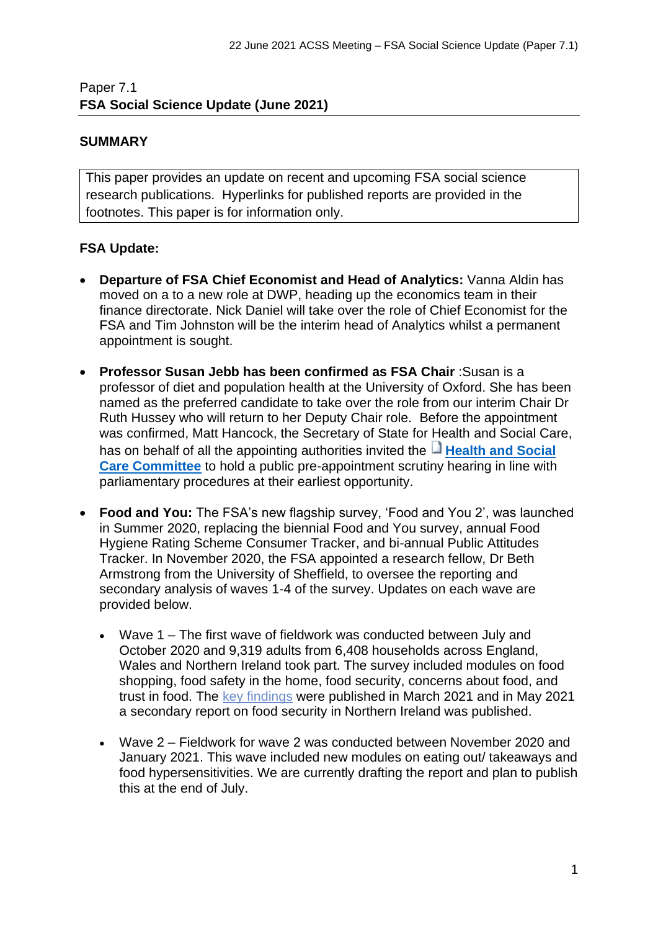### Paper 7.1 **FSA Social Science Update (June 2021)**

### **SUMMARY**

This paper provides an update on recent and upcoming FSA social science research publications. Hyperlinks for published reports are provided in the footnotes. This paper is for information only.

### **FSA Update:**

- **Departure of FSA Chief Economist and Head of Analytics:** Vanna Aldin has moved on a to a new role at DWP, heading up the economics team in their finance directorate. Nick Daniel will take over the role of Chief Economist for the FSA and Tim Johnston will be the interim head of Analytics whilst a permanent appointment is sought.
- **Professor Susan Jebb has been confirmed as FSA Chair** :Susan is a professor of diet and population health at the University of Oxford. She has been named as the preferred candidate to take over the role from our interim Chair Dr Ruth Hussey who will return to her Deputy Chair role. Before the appointment was confirmed, Matt Hancock, the Secretary of State for Health and Social Care, has on behalf of all the appointing authorities invited the **Health and Social [Care Committee](https://committees.parliament.uk/committee/81/health-and-social-care-committee/)** to hold a public pre-appointment scrutiny hearing in line with parliamentary procedures at their earliest opportunity.
- **Food and You:** The FSA's new flagship survey, 'Food and You 2', was launched in Summer 2020, replacing the biennial Food and You survey, annual Food Hygiene Rating Scheme Consumer Tracker, and bi-annual Public Attitudes Tracker. In November 2020, the FSA appointed a research fellow, Dr Beth Armstrong from the University of Sheffield, to oversee the reporting and secondary analysis of waves 1-4 of the survey. Updates on each wave are provided below.
	- Wave 1 The first wave of fieldwork was conducted between July and October 2020 and 9,319 adults from 6,408 households across England, Wales and Northern Ireland took part. The survey included modules on food shopping, food safety in the home, food security, concerns about food, and trust in food. The [key findings](https://www.food.gov.uk/research/food-and-you-2/food-and-you-2-wave-1) were published in March 2021 and in May 2021 a secondary report on food security in Northern Ireland was published.
	- Wave 2 Fieldwork for wave 2 was conducted between November 2020 and January 2021. This wave included new modules on eating out/ takeaways and food hypersensitivities. We are currently drafting the report and plan to publish this at the end of July.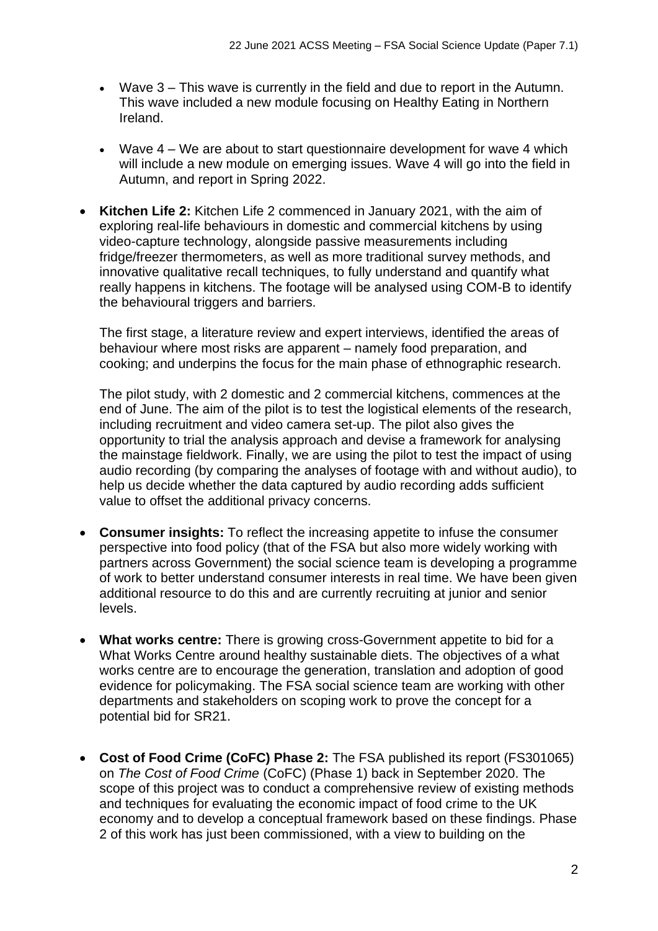- Wave 3 This wave is currently in the field and due to report in the Autumn. This wave included a new module focusing on Healthy Eating in Northern Ireland.
- Wave 4 We are about to start questionnaire development for wave 4 which will include a new module on emerging issues. Wave 4 will go into the field in Autumn, and report in Spring 2022.
- **Kitchen Life 2:** Kitchen Life 2 commenced in January 2021, with the aim of exploring real-life behaviours in domestic and commercial kitchens by using video-capture technology, alongside passive measurements including fridge/freezer thermometers, as well as more traditional survey methods, and innovative qualitative recall techniques, to fully understand and quantify what really happens in kitchens. The footage will be analysed using COM-B to identify the behavioural triggers and barriers.

The first stage, a literature review and expert interviews, identified the areas of behaviour where most risks are apparent – namely food preparation, and cooking; and underpins the focus for the main phase of ethnographic research.

The pilot study, with 2 domestic and 2 commercial kitchens, commences at the end of June. The aim of the pilot is to test the logistical elements of the research, including recruitment and video camera set-up. The pilot also gives the opportunity to trial the analysis approach and devise a framework for analysing the mainstage fieldwork. Finally, we are using the pilot to test the impact of using audio recording (by comparing the analyses of footage with and without audio), to help us decide whether the data captured by audio recording adds sufficient value to offset the additional privacy concerns.

- **Consumer insights:** To reflect the increasing appetite to infuse the consumer perspective into food policy (that of the FSA but also more widely working with partners across Government) the social science team is developing a programme of work to better understand consumer interests in real time. We have been given additional resource to do this and are currently recruiting at junior and senior levels.
- **What works centre:** There is growing cross-Government appetite to bid for a What Works Centre around healthy sustainable diets. The objectives of a what works centre are to encourage the generation, translation and adoption of good evidence for policymaking. The FSA social science team are working with other departments and stakeholders on scoping work to prove the concept for a potential bid for SR21.
- **Cost of Food Crime (CoFC) Phase 2:** The FSA published its report (FS301065) on *The Cost of Food Crime* (CoFC) (Phase 1) back in September 2020. The scope of this project was to conduct a comprehensive review of existing methods and techniques for evaluating the economic impact of food crime to the UK economy and to develop a conceptual framework based on these findings. Phase 2 of this work has just been commissioned, with a view to building on the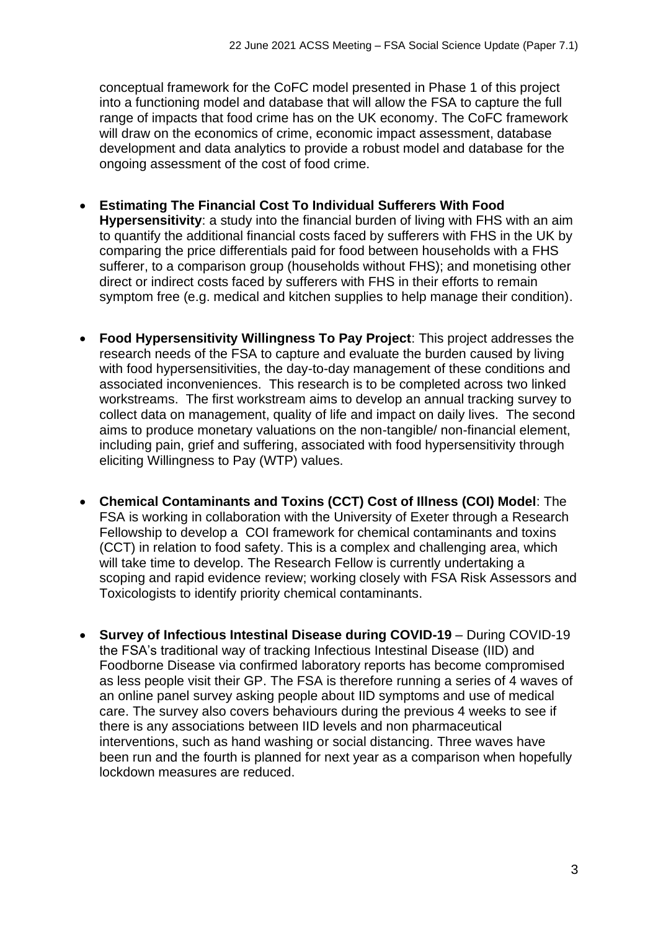conceptual framework for the CoFC model presented in Phase 1 of this project into a functioning model and database that will allow the FSA to capture the full range of impacts that food crime has on the UK economy. The CoFC framework will draw on the economics of crime, economic impact assessment, database development and data analytics to provide a robust model and database for the ongoing assessment of the cost of food crime.

- **Estimating The Financial Cost To Individual Sufferers With Food Hypersensitivity**: a study into the financial burden of living with FHS with an aim to quantify the additional financial costs faced by sufferers with FHS in the UK by comparing the price differentials paid for food between households with a FHS sufferer, to a comparison group (households without FHS); and monetising other direct or indirect costs faced by sufferers with FHS in their efforts to remain symptom free (e.g. medical and kitchen supplies to help manage their condition).
- **Food Hypersensitivity Willingness To Pay Project**: This project addresses the research needs of the FSA to capture and evaluate the burden caused by living with food hypersensitivities, the day-to-day management of these conditions and associated inconveniences. This research is to be completed across two linked workstreams. The first workstream aims to develop an annual tracking survey to collect data on management, quality of life and impact on daily lives. The second aims to produce monetary valuations on the non-tangible/ non-financial element, including pain, grief and suffering, associated with food hypersensitivity through eliciting Willingness to Pay (WTP) values.
- **Chemical Contaminants and Toxins (CCT) Cost of Illness (COI) Model**: The FSA is working in collaboration with the University of Exeter through a Research Fellowship to develop a COI framework for chemical contaminants and toxins (CCT) in relation to food safety. This is a complex and challenging area, which will take time to develop. The Research Fellow is currently undertaking a scoping and rapid evidence review; working closely with FSA Risk Assessors and Toxicologists to identify priority chemical contaminants.
- **Survey of Infectious Intestinal Disease during COVID-19**  During COVID-19 the FSA's traditional way of tracking Infectious Intestinal Disease (IID) and Foodborne Disease via confirmed laboratory reports has become compromised as less people visit their GP. The FSA is therefore running a series of 4 waves of an online panel survey asking people about IID symptoms and use of medical care. The survey also covers behaviours during the previous 4 weeks to see if there is any associations between IID levels and non pharmaceutical interventions, such as hand washing or social distancing. Three waves have been run and the fourth is planned for next year as a comparison when hopefully lockdown measures are reduced.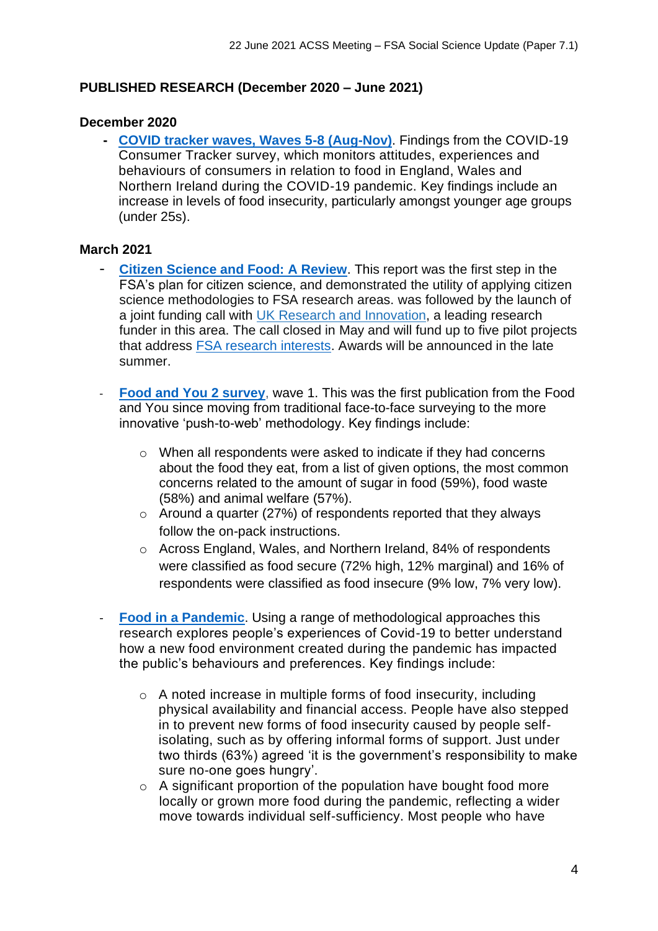## **PUBLISHED RESEARCH (December 2020 – June 2021)**

#### **December 2020**

**- [COVID tracker waves, Waves 5-8 \(Aug-Nov\)](https://www.food.gov.uk/news-alerts/news/covid-19-consumer-tracker-waves-five-to-eight-report-published)**. Findings from the COVID-19 Consumer Tracker survey, which monitors attitudes, experiences and behaviours of consumers in relation to food in England, Wales and Northern Ireland during the COVID-19 pandemic. Key findings include an increase in levels of food insecurity, particularly amongst younger age groups (under 25s).

#### **March 2021**

- **[Citizen Science and Food: A Review](https://www.food.gov.uk/research/research-projects/citizen-science-and-food).** This report was the first step in the FSA's plan for citizen science, and demonstrated the utility of applying citizen science methodologies to FSA research areas. was followed by the launch of a joint funding call with [UK Research and Innovation,](https://www.ukri.org/opportunity/citizen-science-for-food-standards-challenges/) a leading research funder in this area. The call closed in May and will fund up to five pilot projects that address [FSA research interests.](https://www.food.gov.uk/about-us/areas-of-research-interest) Awards will be announced in the late summer.
- **[Food and You 2 survey](https://www.food.gov.uk/research/food-and-you-2/food-and-you-2-wave-1)**, wave 1. This was the first publication from the Food and You since moving from traditional face-to-face surveying to the more innovative 'push-to-web' methodology. Key findings include:
	- o When all respondents were asked to indicate if they had concerns about the food they eat, from a list of given options, the most common concerns related to the amount of sugar in food (59%), food waste (58%) and animal welfare (57%).
	- $\circ$  Around a quarter (27%) of respondents reported that they always follow the on-pack instructions.
	- o Across England, Wales, and Northern Ireland, 84% of respondents were classified as food secure (72% high, 12% marginal) and 16% of respondents were classified as food insecure (9% low, 7% very low).
- **[Food in a Pandemic](https://www.food.gov.uk/research/research-projects/food-in-a-pandemic)**. Using a range of methodological approaches this research explores people's experiences of Covid-19 to better understand how a new food environment created during the pandemic has impacted the public's behaviours and preferences. Key findings include:
	- o A noted increase in multiple forms of food insecurity, including physical availability and financial access. People have also stepped in to prevent new forms of food insecurity caused by people selfisolating, such as by offering informal forms of support. Just under two thirds (63%) agreed 'it is the government's responsibility to make sure no-one goes hungry'.
	- o A significant proportion of the population have bought food more locally or grown more food during the pandemic, reflecting a wider move towards individual self-sufficiency. Most people who have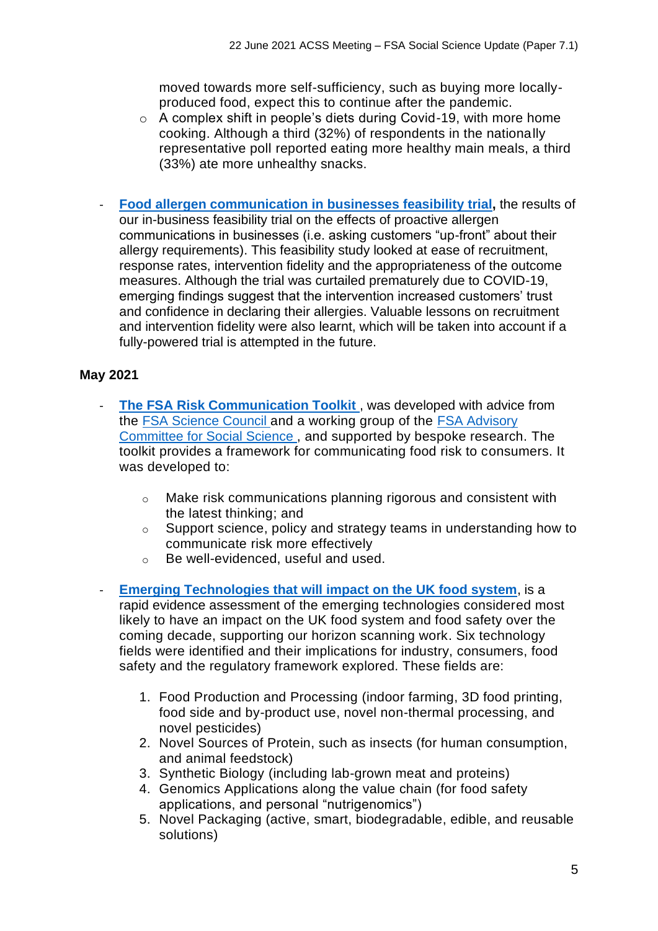moved towards more self-sufficiency, such as buying more locallyproduced food, expect this to continue after the pandemic.

- o A complex shift in people's diets during Covid-19, with more home cooking. Although a third (32%) of respondents in the nationally representative poll reported eating more healthy main meals, a third (33%) ate more unhealthy snacks.
- **[Food allergen communication in businesses feasibility trial,](https://www.food.gov.uk/research/research-projects/food-allergen-communication-in-businesses-feasibility-trial)** the results of our in-business feasibility trial on the effects of proactive allergen communications in businesses (i.e. asking customers "up-front" about their allergy requirements). This feasibility study looked at ease of recruitment, response rates, intervention fidelity and the appropriateness of the outcome measures. Although the trial was curtailed prematurely due to COVID-19, emerging findings suggest that the intervention increased customers' trust and confidence in declaring their allergies. Valuable lessons on recruitment and intervention fidelity were also learnt, which will be taken into account if a fully-powered trial is attempted in the future.

### **May 2021**

- **[The FSA Risk Communication Toolkit](https://www.food.gov.uk/research/research-projects/the-fsa-risk-communication-toolkit)** , was developed with advice from the [FSA Science Council](https://science-council.food.gov.uk/sites/default/files/fsasciencecouncilwg2riskuncertaintyfinrep.pdf) and a working group of the [FSA Advisory](https://old.food.gov.uk/sites/default/files/paper2riskcommunicationandannex.pdf#overlay-context=committee/advisory-committee-for-social-sciences-acss/acss-meetings/acss-meetings/acss-meeting-4-december-2018/acss-meeting-4-december-2018)  [Committee for Social Science](https://old.food.gov.uk/sites/default/files/paper2riskcommunicationandannex.pdf#overlay-context=committee/advisory-committee-for-social-sciences-acss/acss-meetings/acss-meetings/acss-meeting-4-december-2018/acss-meeting-4-december-2018) , and supported by bespoke research. The toolkit provides a framework for communicating food risk to consumers. It was developed to:
	- o Make risk communications planning rigorous and consistent with the latest thinking; and
	- o Support science, policy and strategy teams in understanding how to communicate risk more effectively
	- o Be well-evidenced, useful and used.
- **[Emerging Technologies that will impact on the UK food system](https://www.food.gov.uk/research/research-projects/emerging-technologies-that-will-impact-on-the-uk-food-system)**, is a rapid evidence assessment of the emerging technologies considered most likely to have an impact on the UK food system and food safety over the coming decade, supporting our horizon scanning work. Six technology fields were identified and their implications for industry, consumers, food safety and the regulatory framework explored. These fields are:
	- 1. Food Production and Processing (indoor farming, 3D food printing, food side and by-product use, novel non-thermal processing, and novel pesticides)
	- 2. Novel Sources of Protein, such as insects (for human consumption, and animal feedstock)
	- 3. Synthetic Biology (including lab-grown meat and proteins)
	- 4. Genomics Applications along the value chain (for food safety applications, and personal "nutrigenomics")
	- 5. Novel Packaging (active, smart, biodegradable, edible, and reusable solutions)